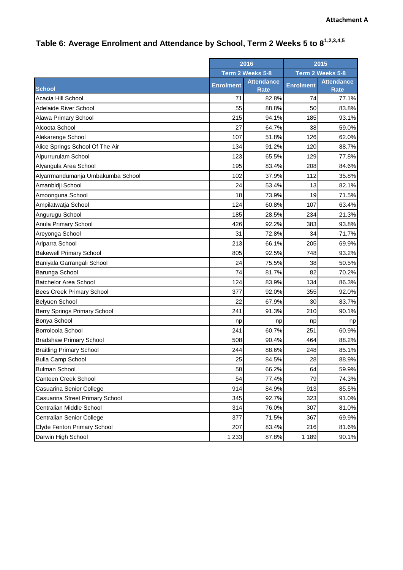## **Table 6: Average Enrolment and Attendance by School, Term 2 Weeks 5 to 81,2,3,4,5**

|                                     | 2016             |                                  | 2015             |                                  |
|-------------------------------------|------------------|----------------------------------|------------------|----------------------------------|
|                                     | Term 2 Weeks 5-8 |                                  | Term 2 Weeks 5-8 |                                  |
| <b>School</b>                       | <b>Enrolment</b> | <b>Attendance</b><br><b>Rate</b> | <b>Enrolment</b> | <b>Attendance</b><br><b>Rate</b> |
| Acacia Hill School                  | 71               | 82.8%                            | 74               | 77.1%                            |
| Adelaide River School               | 55               | 88.8%                            | 50               | 83.8%                            |
| Alawa Primary School                | 215              | 94.1%                            | 185              | 93.1%                            |
| Alcoota School                      | 27               | 64.7%                            | 38               | 59.0%                            |
| Alekarenge School                   | 107              | 51.8%                            | 126              | 62.0%                            |
| Alice Springs School Of The Air     | 134              | 91.2%                            | 120              | 88.7%                            |
| Alpurrurulam School                 | 123              | 65.5%                            | 129              | 77.8%                            |
| Alyangula Area School               | 195              | 83.4%                            | 208              | 84.6%                            |
| Alyarrmandumanja Umbakumba School   | 102              | 37.9%                            | 112              | 35.8%                            |
| Amanbidji School                    | 24               | 53.4%                            | 13               | 82.1%                            |
| Amoonguna School                    | 18               | 73.9%                            | 19               | 71.5%                            |
| Ampilatwatja School                 | 124              | 60.8%                            | 107              | 63.4%                            |
| Angurugu School                     | 185              | 28.5%                            | 234              | 21.3%                            |
| Anula Primary School                | 426              | 92.2%                            | 383              | 93.8%                            |
| Areyonga School                     | 31               | 72.8%                            | 34               | 71.7%                            |
| Arlparra School                     | 213              | 66.1%                            | 205              | 69.9%                            |
| <b>Bakewell Primary School</b>      | 805              | 92.5%                            | 748              | 93.2%                            |
| Baniyala Garrangali School          | 24               | 75.5%                            | 38               | 50.5%                            |
| Barunga School                      | 74               | 81.7%                            | 82               | 70.2%                            |
| <b>Batchelor Area School</b>        | 124              | 83.9%                            | 134              | 86.3%                            |
| <b>Bees Creek Primary School</b>    | 377              | 92.0%                            | 355              | 92.0%                            |
| Belyuen School                      | 22               | 67.9%                            | 30               | 83.7%                            |
| <b>Berry Springs Primary School</b> | 241              | 91.3%                            | 210              | 90.1%                            |
| Bonya School                        | np               | np                               | np               | np                               |
| Borroloola School                   | 241              | 60.7%                            | 251              | 60.9%                            |
| <b>Bradshaw Primary School</b>      | 508              | 90.4%                            | 464              | 88.2%                            |
| <b>Braitling Primary School</b>     | 244              | 88.6%                            | 248              | 85.1%                            |
| <b>Bulla Camp School</b>            | 25               | 84.5%                            | 28               | 88.9%                            |
| <b>Bulman School</b>                | 58               | 66.2%                            | 64               | 59.9%                            |
| Canteen Creek School                | 54               | 77.4%                            | 79               | 74.3%                            |
| Casuarina Senior College            | 914              | 84.9%                            | 913              | 85.5%                            |
| Casuarina Street Primary School     | 345              | 92.7%                            | 323              | 91.0%                            |
| Centralian Middle School            | 314              | 76.0%                            | 307              | 81.0%                            |
| Centralian Senior College           | 377              | 71.5%                            | 367              | 69.9%                            |
| Clyde Fenton Primary School         | 207              | 83.4%                            | 216              | 81.6%                            |
| Darwin High School                  | 1 2 3 3          | 87.8%                            | 1 1 8 9          | 90.1%                            |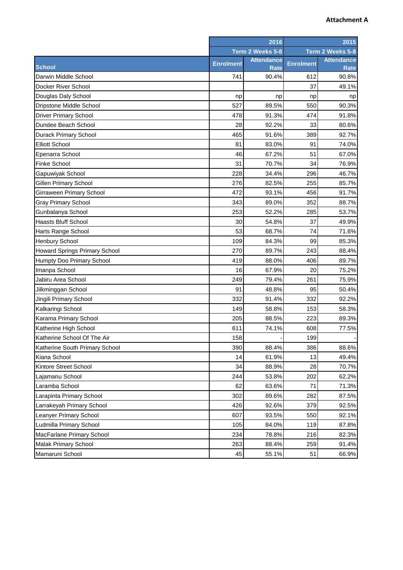## **Attachment A**

|                                 | 2016             |                                  | 2015             |                                  |
|---------------------------------|------------------|----------------------------------|------------------|----------------------------------|
|                                 |                  | Term 2 Weeks 5-8                 |                  | Term 2 Weeks 5-8                 |
| <b>School</b>                   | <b>Enrolment</b> | <b>Attendance</b><br><b>Rate</b> | <b>Enrolment</b> | <b>Attendance</b><br><b>Rate</b> |
| Darwin Middle School            | 741              | 90.4%                            | 612              | 90.8%                            |
| Docker River School             |                  |                                  | 37               | 49.1%                            |
| Douglas Daly School             | np               | np                               | np               | np                               |
| Dripstone Middle School         | 527              | 89.5%                            | 550              | 90.3%                            |
| <b>Driver Primary School</b>    | 478              | 91.3%                            | 474              | 91.8%                            |
| Dundee Beach School             | 28               | 92.2%                            | 33               | 80.6%                            |
| <b>Durack Primary School</b>    | 465              | 91.6%                            | 389              | 92.7%                            |
| <b>Elliott School</b>           | 81               | 83.0%                            | 91               | 74.0%                            |
| Epenarra School                 | 46               | 67.2%                            | 51               | 67.0%                            |
| <b>Finke School</b>             | 31               | 70.7%                            | 34               | 76.9%                            |
| Gapuwiyak School                | 228              | 34.4%                            | 296              | 46.7%                            |
| <b>Gillen Primary School</b>    | 276              | 82.5%                            | 255              | 85.7%                            |
| <b>Girraween Primary School</b> | 472              | 93.1%                            | 456              | 91.7%                            |
| <b>Gray Primary School</b>      | 343              | 89.0%                            | 352              | 88.7%                            |
| Gunbalanya School               | 253              | 52.2%                            | 285              | 53.7%                            |
| <b>Haasts Bluff School</b>      | 30               | 54.8%                            | 37               | 49.9%                            |
| Harts Range School              | 53               | 68.7%                            | 74               | 71.6%                            |
| <b>Henbury School</b>           | 109              | 84.3%                            | 99               | 85.3%                            |
| Howard Springs Primary School   | 270              | 89.7%                            | 243              | 88.4%                            |
| Humpty Doo Primary School       | 419              | 88.0%                            | 406              | 89.7%                            |
| Imanpa School                   | 16               | 67.9%                            | 20               | 75.2%                            |
| Jabiru Area School              | 249              | 79.4%                            | 261              | 75.9%                            |
| Jilkminggan School              | 91               | 48.8%                            | 95               | 50.4%                            |
| Jingili Primary School          | 332              | 91.4%                            | 332              | 92.2%                            |
| Kalkaringi School               | 149              | 58.8%                            | 153              | 58.3%                            |
| Karama Primary School           | 205              | 88.5%                            | 223              | 89.3%                            |
| Katherine High School           | 611              | 74.1%                            | 608              | 77.5%                            |
| Katherine School Of The Air     | 158              |                                  | 199              |                                  |
| Katherine South Primary School  | 390              | 88.4%                            | 386              | 88.6%                            |
| Kiana School                    | 14               | 61.9%                            | 13               | 49.4%                            |
| Kintore Street School           | 34               | 88.9%                            | 28               | 70.7%                            |
| Lajamanu School                 | 244              | 53.8%                            | 202              | 62.2%                            |
| Laramba School                  | 62               | 63.6%                            | 71               | 71.3%                            |
| Larapinta Primary School        | 302              | 89.6%                            | 282              | 87.5%                            |
| Larrakeyah Primary School       | 426              | 92.6%                            | 379              | 92.5%                            |
| Leanyer Primary School          | 607              | 93.5%                            | 550              | 92.1%                            |
| Ludmilla Primary School         | 105              | 84.0%                            | 119              | 87.8%                            |
| MacFarlane Primary School       | 234              | 78.8%                            | 216              | 82.3%                            |
| <b>Malak Primary School</b>     | 263              | 88.4%                            | 259              | 91.4%                            |
| Mamaruni School                 | 45               | 55.1%                            | 51               | 66.9%                            |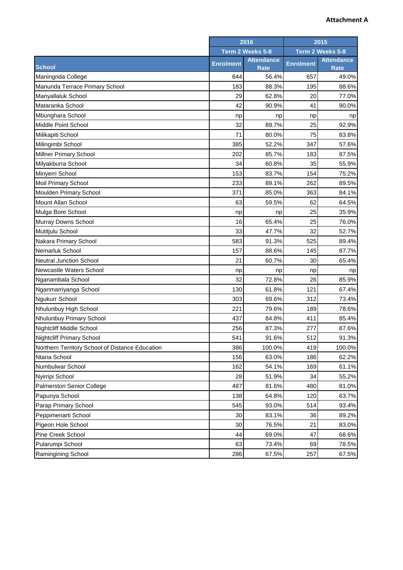## **Attachment A**

|                                                 | 2016<br>Term 2 Weeks 5-8 |                                  | 2015<br>Term 2 Weeks 5-8 |                                  |
|-------------------------------------------------|--------------------------|----------------------------------|--------------------------|----------------------------------|
|                                                 |                          |                                  |                          |                                  |
| <b>School</b>                                   | <b>Enrolment</b>         | <b>Attendance</b><br><b>Rate</b> | <b>Enrolment</b>         | <b>Attendance</b><br><b>Rate</b> |
| Maningrida College                              | 644                      | 56.4%                            | 657                      | 49.0%                            |
| Manunda Terrace Primary School                  | 183                      | 88.3%                            | 195                      | 88.6%                            |
| Manyallaluk School                              | 29                       | 62.8%                            | 20                       | 77.0%                            |
| Mataranka School                                | 42                       | 90.9%                            | 41                       | 90.0%                            |
| Mbunghara School                                | np                       | np                               | np                       | np                               |
| Middle Point School                             | 32                       | 89.7%                            | 25                       | 92.9%                            |
| Milikapiti School                               | 71                       | 80.0%                            | 75                       | 83.8%                            |
| Milingimbi School                               | 385                      | 52.2%                            | 347                      | 57.6%                            |
| Millner Primary School                          | 202                      | 85.7%                            | 183                      | 87.5%                            |
| Milyakburra School                              | 34                       | 60.8%                            | 35                       | 55.9%                            |
| Minyerri School                                 | 153                      | 83.7%                            | 154                      | 75.2%                            |
| Moil Primary School                             | 233                      | 89.1%                            | 262                      | 89.5%                            |
| Moulden Primary School                          | 371                      | 85.0%                            | 363                      | 84.1%                            |
| <b>Mount Allan School</b>                       | 63                       | 59.5%                            | 62                       | 64.5%                            |
| Mulga Bore School                               | np                       | np                               | 25                       | 35.9%                            |
| Murray Downs School                             | 16                       | 65.4%                            | 25                       | 76.0%                            |
| Mutitjulu School                                | 33                       | 47.7%                            | 32                       | 52.7%                            |
| Nakara Primary School                           | 583                      | 91.3%                            | 525                      | 89.4%                            |
| Nemarluk School                                 | 157                      | 88.6%                            | 145                      | 87.7%                            |
| <b>Neutral Junction School</b>                  | 21                       | 60.7%                            | 30                       | 65.4%                            |
| <b>Newcastle Waters School</b>                  | np                       | np                               | np                       | np                               |
| Nganambala School                               | 32                       | 72.8%                            | 26                       | 85.9%                            |
| Nganmarriyanga School                           | 130                      | 61.8%                            | 121                      | 67.4%                            |
| Ngukurr School                                  | 303                      | 69.6%                            | 312                      | 73.4%                            |
| Nhulunbuy High School                           | 221                      | 79.6%                            | 189                      | 78.6%                            |
| Nhulunbuy Primary School                        | 437                      | 84.8%                            | 411                      | 85.4%                            |
| <b>Nightcliff Middle School</b>                 | 256                      | 87.3%                            | 277                      | 87.6%                            |
| <b>Nightcliff Primary School</b>                | 541                      | 91.6%                            | 512                      | 91.3%                            |
| Northern Territory School of Distance Education | 386                      | 100.0%                           | 419                      | 100.0%                           |
| Ntaria School                                   | 156                      | 63.0%                            | 186                      | 62.2%                            |
| Numbulwar School                                | 162                      | 54.1%                            | 169                      | 61.1%                            |
| Nyirripi School                                 | 28                       | 51.9%                            | 34                       | 55.2%                            |
| <b>Palmerston Senior College</b>                | 487                      | 81.6%                            | 480                      | 81.0%                            |
| Papunya School                                  | 138                      | 64.8%                            | 120                      | 63.7%                            |
| Parap Primary School                            | 545                      | 93.0%                            | 514                      | 93.4%                            |
| Peppimenarti School                             | 30                       | 83.1%                            | 36                       | 89.2%                            |
| Pigeon Hole School                              | 30                       | 76.5%                            | 21                       | 83.0%                            |
| Pine Creek School                               | 44                       | 69.0%                            | 47                       | 68.6%                            |
| Pularumpi School                                | 63                       | 73.4%                            | 69                       | 78.5%                            |
| Ramingining School                              | 286                      | 67.5%                            | 257                      | 67.5%                            |